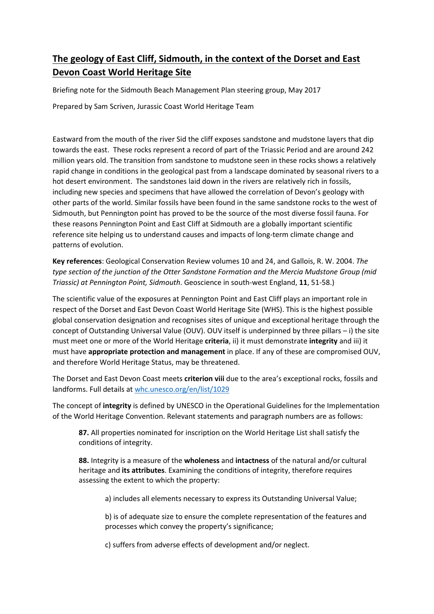# The geology of East Cliff, Sidmouth, in the context of the Dorset and East Devon Coast World Heritage Site

Briefing note for the Sidmouth Beach Management Plan steering group, May 2017

Prepared by Sam Scriven, Jurassic Coast World Heritage Team

Eastward from the mouth of the river Sid the cliff exposes sandstone and mudstone layers that dip towards the east. These rocks represent a record of part of the Triassic Period and are around 242 million years old. The transition from sandstone to mudstone seen in these rocks shows a relatively rapid change in conditions in the geological past from a landscape dominated by seasonal rivers to a hot desert environment. The sandstones laid down in the rivers are relatively rich in fossils, including new species and specimens that have allowed the correlation of Devon's geology with other parts of the world. Similar fossils have been found in the same sandstone rocks to the west of Sidmouth, but Pennington point has proved to be the source of the most diverse fossil fauna. For these reasons Pennington Point and East Cliff at Sidmouth are a globally important scientific reference site helping us to understand causes and impacts of long-term climate change and patterns of evolution.

Key references: Geological Conservation Review volumes 10 and 24, and Gallois, R. W. 2004. The type section of the junction of the Otter Sandstone Formation and the Mercia Mudstone Group (mid Triassic) at Pennington Point, Sidmouth. Geoscience in south-west England, 11, 51-58.)

The scientific value of the exposures at Pennington Point and East Cliff plays an important role in respect of the Dorset and East Devon Coast World Heritage Site (WHS). This is the highest possible global conservation designation and recognises sites of unique and exceptional heritage through the concept of Outstanding Universal Value (OUV). OUV itself is underpinned by three pillars – i) the site must meet one or more of the World Heritage criteria, ii) it must demonstrate integrity and iii) it must have **appropriate protection and management** in place. If any of these are compromised OUV, and therefore World Heritage Status, may be threatened.

The Dorset and East Devon Coast meets criterion viii due to the area's exceptional rocks, fossils and landforms. Full details at whc.unesco.org/en/list/1029

The concept of integrity is defined by UNESCO in the Operational Guidelines for the Implementation of the World Heritage Convention. Relevant statements and paragraph numbers are as follows:

87. All properties nominated for inscription on the World Heritage List shall satisfy the conditions of integrity.

88. Integrity is a measure of the wholeness and intactness of the natural and/or cultural heritage and its attributes. Examining the conditions of integrity, therefore requires assessing the extent to which the property:

a) includes all elements necessary to express its Outstanding Universal Value;

b) is of adequate size to ensure the complete representation of the features and processes which convey the property's significance;

c) suffers from adverse effects of development and/or neglect.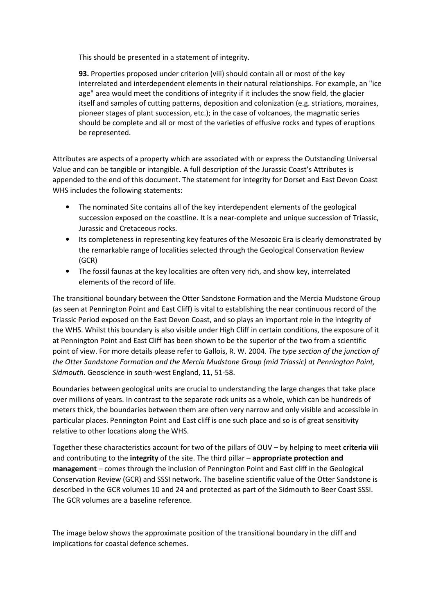This should be presented in a statement of integrity.

93. Properties proposed under criterion (viii) should contain all or most of the key interrelated and interdependent elements in their natural relationships. For example, an "ice age" area would meet the conditions of integrity if it includes the snow field, the glacier itself and samples of cutting patterns, deposition and colonization (e.g. striations, moraines, pioneer stages of plant succession, etc.); in the case of volcanoes, the magmatic series should be complete and all or most of the varieties of effusive rocks and types of eruptions be represented.

Attributes are aspects of a property which are associated with or express the Outstanding Universal Value and can be tangible or intangible. A full description of the Jurassic Coast's Attributes is appended to the end of this document. The statement for integrity for Dorset and East Devon Coast WHS includes the following statements:

- The nominated Site contains all of the key interdependent elements of the geological succession exposed on the coastline. It is a near-complete and unique succession of Triassic, Jurassic and Cretaceous rocks.
- Its completeness in representing key features of the Mesozoic Era is clearly demonstrated by the remarkable range of localities selected through the Geological Conservation Review (GCR)
- The fossil faunas at the key localities are often very rich, and show key, interrelated elements of the record of life.

The transitional boundary between the Otter Sandstone Formation and the Mercia Mudstone Group (as seen at Pennington Point and East Cliff) is vital to establishing the near continuous record of the Triassic Period exposed on the East Devon Coast, and so plays an important role in the integrity of the WHS. Whilst this boundary is also visible under High Cliff in certain conditions, the exposure of it at Pennington Point and East Cliff has been shown to be the superior of the two from a scientific point of view. For more details please refer to Gallois, R. W. 2004. The type section of the junction of the Otter Sandstone Formation and the Mercia Mudstone Group (mid Triassic) at Pennington Point, Sidmouth. Geoscience in south-west England, 11, 51-58.

Boundaries between geological units are crucial to understanding the large changes that take place over millions of years. In contrast to the separate rock units as a whole, which can be hundreds of meters thick, the boundaries between them are often very narrow and only visible and accessible in particular places. Pennington Point and East cliff is one such place and so is of great sensitivity relative to other locations along the WHS.

Together these characteristics account for two of the pillars of OUV – by helping to meet criteria viii and contributing to the integrity of the site. The third pillar – appropriate protection and management – comes through the inclusion of Pennington Point and East cliff in the Geological Conservation Review (GCR) and SSSI network. The baseline scientific value of the Otter Sandstone is described in the GCR volumes 10 and 24 and protected as part of the Sidmouth to Beer Coast SSSI. The GCR volumes are a baseline reference.

The image below shows the approximate position of the transitional boundary in the cliff and implications for coastal defence schemes.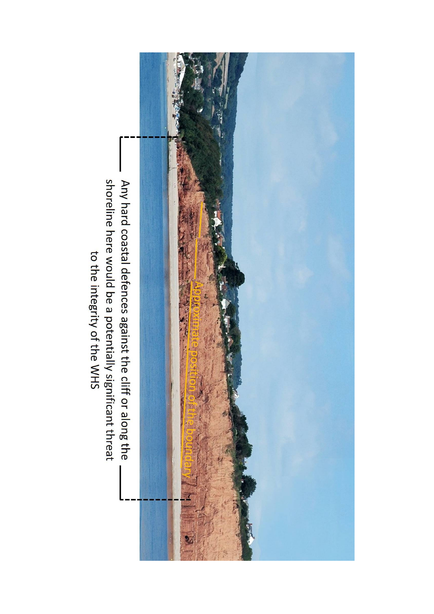

shoreline here would be a potentially significant threat to the integrity of the WHS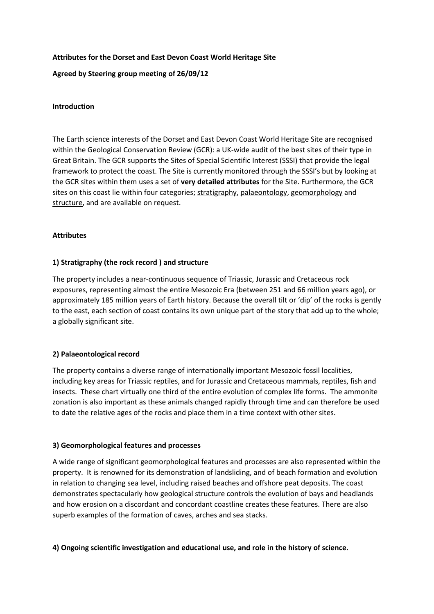## Attributes for the Dorset and East Devon Coast World Heritage Site

Agreed by Steering group meeting of 26/09/12

#### Introduction

The Earth science interests of the Dorset and East Devon Coast World Heritage Site are recognised within the Geological Conservation Review (GCR): a UK-wide audit of the best sites of their type in Great Britain. The GCR supports the Sites of Special Scientific Interest (SSSI) that provide the legal framework to protect the coast. The Site is currently monitored through the SSSI's but by looking at the GCR sites within them uses a set of very detailed attributes for the Site. Furthermore, the GCR sites on this coast lie within four categories; stratigraphy, palaeontology, geomorphology and structure, and are available on request.

#### Attributes

## 1) Stratigraphy (the rock record ) and structure

The property includes a near-continuous sequence of Triassic, Jurassic and Cretaceous rock exposures, representing almost the entire Mesozoic Era (between 251 and 66 million years ago), or approximately 185 million years of Earth history. Because the overall tilt or 'dip' of the rocks is gently to the east, each section of coast contains its own unique part of the story that add up to the whole; a globally significant site.

## 2) Palaeontological record

The property contains a diverse range of internationally important Mesozoic fossil localities, including key areas for Triassic reptiles, and for Jurassic and Cretaceous mammals, reptiles, fish and insects. These chart virtually one third of the entire evolution of complex life forms. The ammonite zonation is also important as these animals changed rapidly through time and can therefore be used to date the relative ages of the rocks and place them in a time context with other sites.

#### 3) Geomorphological features and processes

A wide range of significant geomorphological features and processes are also represented within the property. It is renowned for its demonstration of landsliding, and of beach formation and evolution in relation to changing sea level, including raised beaches and offshore peat deposits. The coast demonstrates spectacularly how geological structure controls the evolution of bays and headlands and how erosion on a discordant and concordant coastline creates these features. There are also superb examples of the formation of caves, arches and sea stacks.

## 4) Ongoing scientific investigation and educational use, and role in the history of science.